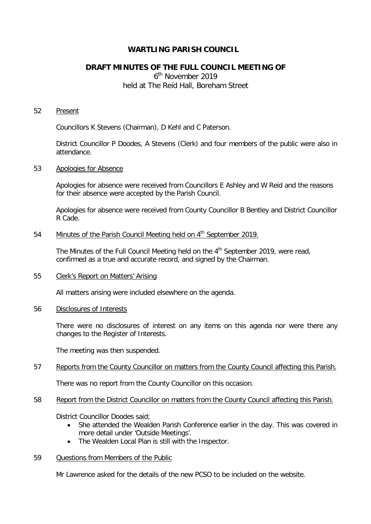# **WARTLING PARISH COUNCIL**

# **DRAFT MINUTES OF THE FULL COUNCIL MEETING OF**

# 6<sup>th</sup> November 2019 held at The Reid Hall, Boreham Street

#### 52 Present

Councillors K Stevens (Chairman), D Kehl and C Paterson.

District Councillor P Doodes, A Stevens (Clerk) and four members of the public were also in attendance.

#### 53 Apologies for Absence

Apologies for absence were received from Councillors E Ashley and W Reid and the reasons for their absence were accepted by the Parish Council.

Apologies for absence were received from County Councillor B Bentley and District Councillor R Cade.

# 54 Minutes of the Parish Council Meeting held on 4<sup>th</sup> September 2019.

The Minutes of the Full Council Meeting held on the  $4<sup>th</sup>$  September 2019, were read, confirmed as a true and accurate record, and signed by the Chairman.

### 55 Clerk's Report on Matters' Arising

All matters arising were included elsewhere on the agenda.

### 56 Disclosures of Interests

There were no disclosures of interest on any items on this agenda nor were there any changes to the Register of Interests.

The meeting was then suspended.

### 57 Reports from the County Councillor on matters from the County Council affecting this Parish.

There was no report from the County Councillor on this occasion.

### 58 Report from the District Councillor on matters from the County Council affecting this Parish.

District Councillor Doodes said;

- She attended the Wealden Parish Conference earlier in the day. This was covered in more detail under 'Outside Meetings'.
- The Wealden Local Plan is still with the Inspector.

### 59 Questions from Members of the Public

Mr Lawrence asked for the details of the new PCSO to be included on the website.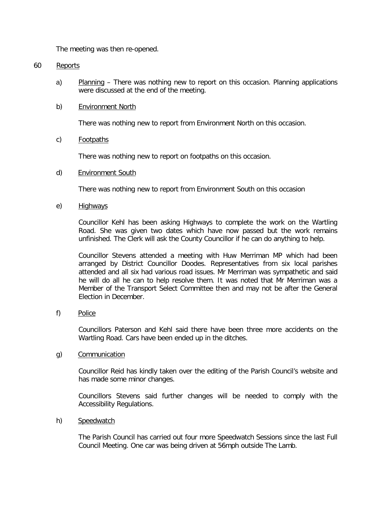The meeting was then re-opened.

### 60 Reports

a) Planning – There was nothing new to report on this occasion. Planning applications were discussed at the end of the meeting.

# b) Environment North

There was nothing new to report from Environment North on this occasion.

### c) Footpaths

There was nothing new to report on footpaths on this occasion.

### d) Environment South

There was nothing new to report from Environment South on this occasion

### e) Highways

Councillor Kehl has been asking Highways to complete the work on the Wartling Road. She was given two dates which have now passed but the work remains unfinished. The Clerk will ask the County Councillor if he can do anything to help.

Councillor Stevens attended a meeting with Huw Merriman MP which had been arranged by District Councillor Doodes. Representatives from six local parishes attended and all six had various road issues. Mr Merriman was sympathetic and said he will do all he can to help resolve them. It was noted that Mr Merriman was a Member of the Transport Select Committee then and may not be after the General Election in December.

f) Police

Councillors Paterson and Kehl said there have been three more accidents on the Wartling Road. Cars have been ended up in the ditches.

### g) Communication

Councillor Reid has kindly taken over the editing of the Parish Council's website and has made some minor changes.

Councillors Stevens said further changes will be needed to comply with the Accessibility Regulations.

### h) Speedwatch

The Parish Council has carried out four more Speedwatch Sessions since the last Full Council Meeting. One car was being driven at 56mph outside The Lamb.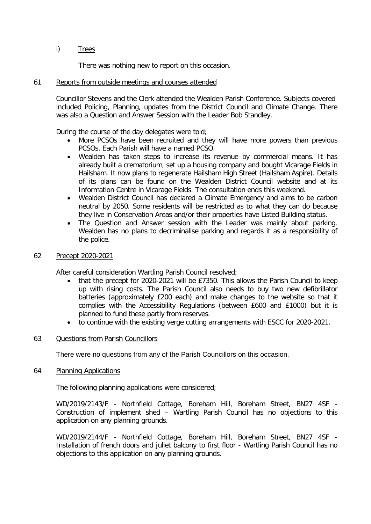# i) Trees

There was nothing new to report on this occasion.

### 61 Reports from outside meetings and courses attended

Councillor Stevens and the Clerk attended the Wealden Parish Conference. Subjects covered included Policing, Planning, updates from the District Council and Climate Change. There was also a Question and Answer Session with the Leader Bob Standley.

During the course of the day delegates were told;

- More PCSOs have been recruited and they will have more powers than previous PCSOs. Each Parish will have a named PCSO.
- Wealden has taken steps to increase its revenue by commercial means. It has already built a crematorium, set up a housing company and bought Vicarage Fields in Hailsham. It now plans to regenerate Hailsham High Street (Hailsham Aspire). Details of its plans can be found on the Wealden District Council website and at its Information Centre in Vicarage Fields. The consultation ends this weekend.
- Wealden District Council has declared a Climate Emergency and aims to be carbon neutral by 2050. Some residents will be restricted as to what they can do because they live in Conservation Areas and/or their properties have Listed Building status.
- The Question and Answer session with the Leader was mainly about parking. Wealden has no plans to decriminalise parking and regards it as a responsibility of the police.

# 62 Precept 2020-2021

After careful consideration Wartling Parish Council resolved;

- that the precept for 2020-2021 will be £7350. This allows the Parish Council to keep up with rising costs. The Parish Council also needs to buy two new defibrillator batteries (approximately £200 each) and make changes to the website so that it complies with the Accessibility Regulations (between £600 and £1000) but it is planned to fund these partly from reserves.
- to continue with the existing verge cutting arrangements with ESCC for 2020-2021.

# 63 Questions from Parish Councillors

There were no questions from any of the Parish Councillors on this occasion.

# 64 Planning Applications

The following planning applications were considered;

WD/2019/2143/F - Northfield Cottage, Boreham Hill, Boreham Street, BN27 4SF - Construction of implement shed – Wartling Parish Council has no objections to this application on any planning grounds.

WD/2019/2144/F - Northfield Cottage, Boreham Hill, Boreham Street, BN27 4SF - Installation of french doors and juliet balcony to first floor - Wartling Parish Council has no objections to this application on any planning grounds.